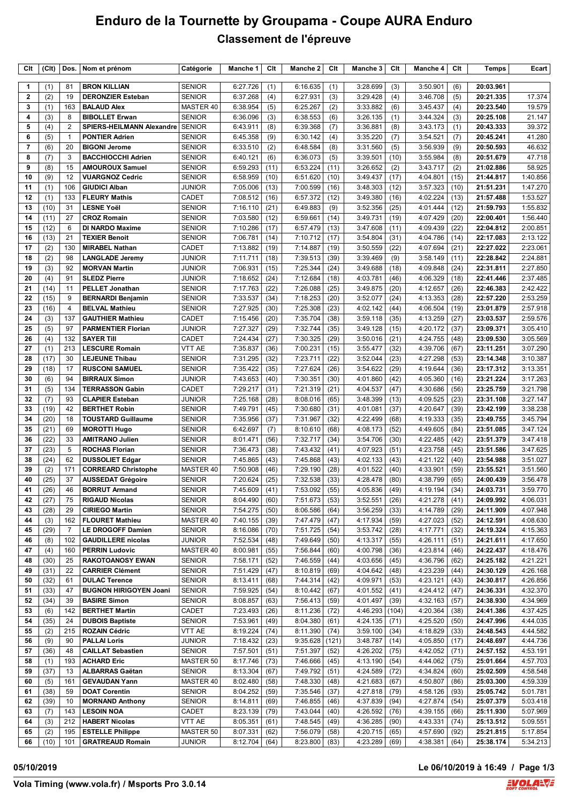# **Enduro de la Tournette by Groupama - Coupe AURA Enduro Classement de l'épreuve**

| Clt            | (C <sub>It</sub> ) | Dos.           | Nom et prénom                                          | Catégorie                     | Manche 1             | Clt          | Manche 2             | Clt          | Manche 3             | Clt           | Manche 4             | Clt          | <b>Temps</b>           | Ecart                |
|----------------|--------------------|----------------|--------------------------------------------------------|-------------------------------|----------------------|--------------|----------------------|--------------|----------------------|---------------|----------------------|--------------|------------------------|----------------------|
| $\mathbf{1}$   | (1)                | 81             | <b>BRON KILLIAN</b>                                    | <b>SENIOR</b>                 | 6:27.726             | (1)          | 6:16.635             | (1)          | 3:28.699             | (3)           | 3:50.901             | (6)          | 20:03.961              |                      |
| 2              | (2)                | 19             | <b>DERONZIER Esteban</b>                               | <b>SENIOR</b>                 | 6:37.268             | (4)          | 6:27.931             | (3)          | 3:29.428             | (4)           | 3:46.708             | (5)          | 20:21.335              | 17.374               |
| 3              | (1)                | 163            | <b>BALAUD Alex</b>                                     | MASTER 40                     | 6:38.954             | (5)          | 6:25.267             | (2)          | 3:33.882             | (6)           | 3:45.437             | (4)          | 20:23.540              | 19.579               |
| 4              | (3)                | 8              | <b>BIBOLLET Erwan</b>                                  | <b>SENIOR</b>                 | 6:36.096             | (3)          | 6:38.553             | (6)          | 3:26.135             | (1)           | 3:44.324             | (3)          | 20:25.108              | 21.147               |
| 5              | (4)                | 2              | <b>SPIERS-HEILMANN Alexandre</b>                       | <b>SENIOR</b>                 | 6:43.911             | (8)          | 6:39.368             | (7)          | 3:36.881             | (8)           | 3:43.173             | (1)          | 20:43.333              | 39.372               |
| 6              | (5)                | $\mathbf{1}$   | <b>PONTIER Adrien</b>                                  | <b>SENIOR</b>                 | 6:45.358             | (9)          | 6:30.142             | (4)          | 3:35.220             | (7)           | 3:54.521             | (7)          | 20:45.241              | 41.280               |
| $\overline{7}$ | (6)                | 20             | <b>BIGONI Jerome</b>                                   | <b>SENIOR</b>                 | 6:33.510             | (2)          | 6:48.584             | (8)          | 3:31.560             | (5)           | 3:56.939             | (9)          | 20:50.593              | 46.632               |
| 8              | (7)                | 3              | <b>BACCHIOCCHI Adrien</b>                              | <b>SENIOR</b>                 | 6:40.121             | (6)          | 6:36.073             | (5)          | 3:39.501             | (10)          | 3:55.984             | (8)          | 20:51.679              | 47.718               |
| 9              | (8)                | 15             | <b>AMOUROUX Samuel</b>                                 | <b>SENIOR</b>                 | 6:59.293             | (11)         | 6:53.224             | (11)         | 3:26.652             | (2)           | 3:43.717             | (2)          | 21:02.886              | 58.925               |
| 10             | (9)                | 12             | <b>VUARGNOZ Cedric</b>                                 | <b>SENIOR</b>                 | 6:58.959             | (10)         | 6:51.620             | (10)         | 3:49.437             | (17)          | 4:04.801             | (15)         | 21:44.817              | 1:40.856             |
| 11<br>12       | (1)<br>(1)         | 106<br>133     | <b>GIUDICI Alban</b><br><b>FLEURY Mathis</b>           | <b>JUNIOR</b><br><b>CADET</b> | 7:05.006<br>7:08.512 | (13)<br>(16) | 7:00.599<br>6:57.372 | (16)<br>(12) | 3:48.303<br>3:49.380 | (12)<br>(16)  | 3:57.323<br>4:02.224 | (10)<br>(13) | 21:51.231<br>21:57.488 | 1:47.270<br>1:53.527 |
| 13             | (10)               | 31             | <b>LESNE Yoël</b>                                      | <b>SENIOR</b>                 | 7:16.110             | (21)         | 6:49.883             | (9)          | 3:52.356             | (25)          | 4:01.444             | (12)         | 21:59.793              | 1:55.832             |
| 14             | (11)               | 27             | <b>CROZ Romain</b>                                     | <b>SENIOR</b>                 | 7:03.580             | (12)         | 6:59.661             | (14)         | 3:49.731             | (19)          | 4:07.429             | (20)         | 22:00.401              | 1:56.440             |
| 15             | (12)               | 6              | <b>DI NARDO Maxime</b>                                 | <b>SENIOR</b>                 | 7:10.286             | (17)         | 6:57.479             | (13)         | 3:47.608             | (11)          | 4:09.439             | (22)         | 22:04.812              | 2:00.851             |
| 16             | (13)               | 21             | <b>TEXIER Benoit</b>                                   | <b>SENIOR</b>                 | 7:06.781             | (14)         | 7:10.712             | (17)         | 3:54.804             | (31)          | 4:04.786             | (14)         | 22:17.083              | 2:13.122             |
| 17             | (2)                | 130            | <b>MIRABEL Nathan</b>                                  | CADET                         | 7:13.882             | (19)         | 7:14.887             | (19)         | 3:50.559             | (22)          | 4:07.694             | (21)         | 22:27.022              | 2:23.061             |
| 18             | (2)                | 98             | <b>LANGLADE Jeremy</b>                                 | <b>JUNIOR</b>                 | 7:11.711             | (18)         | 7:39.513             | (39)         | 3:39.469             | (9)           | 3:58.149             | (11)         | 22:28.842              | 2:24.881             |
| 19             | (3)                | 92             | <b>MORVAN Martin</b>                                   | <b>JUNIOR</b>                 | 7:06.931             | (15)         | 7:25.344             | (24)         | 3:49.688             | (18)          | 4:09.848             | (24)         | 22:31.811              | 2:27.850             |
| 20             | (4)                | 91             | <b>SLEDZ Pierre</b>                                    | <b>JUNIOR</b>                 | 7:18.652             | (24)         | 7:12.684             | (18)         | 4:03.781             | (46)          | 4:06.329             | (18)         | 22:41.446              | 2:37.485             |
| 21             | (14)               | 11             | <b>PELLET Jonathan</b>                                 | <b>SENIOR</b>                 | 7:17.763             | (22)         | 7:26.088             | (25)         | 3:49.875             | (20)          | 4:12.657             | (26)         | 22:46.383              | 2:42.422             |
| 22             | (15)               | 9              | <b>BERNARDI Benjamin</b>                               | <b>SENIOR</b>                 | 7:33.537             | (34)         | 7:18.253             | (20)         | 3:52.077             | (24)          | 4:13.353             | (28)         | 22:57.220              | 2:53.259             |
| 23             | (16)               | 4              | <b>BELVAL Mathieu</b>                                  | <b>SENIOR</b>                 | 7:27.925             | (30)         | 7:25.308             | (23)         | 4:02.142             | (44)          | 4:06.504             | (19)         | 23:01.879              | 2:57.918             |
| 24             | (3)                | 137            | <b>GAUTHIER Mathieu</b><br><b>PARMENTIER Florian</b>   | <b>CADET</b>                  | 7:15.456             | (20)         | 7:35.704             | (38)         | 3:59.118             | (35)          | 4:13.259             | (27)         | 23:03.537              | 2:59.576             |
| 25<br>26       | (5)<br>(4)         | 97<br>132      | <b>SAYER TIII</b>                                      | <b>JUNIOR</b><br>CADET        | 7:27.327<br>7:24.434 | (29)<br>(27) | 7:32.744<br>7:30.325 | (35)<br>(29) | 3:49.128<br>3:50.016 | (15)<br>(21)  | 4:20.172<br>4:24.755 | (37)<br>(48) | 23:09.371<br>23:09.530 | 3:05.410<br>3:05.569 |
| 27             | (1)                | 213            | <b>LESCURE Romain</b>                                  | VTT AE                        | 7:35.837             | (36)         | 7:00.231             | (15)         | 3:55.477             | (32)          | 4:39.706             | (67)         | 23:11.251              | 3:07.290             |
| 28             | (17)               | 30             | <b>LEJEUNE Thibau</b>                                  | <b>SENIOR</b>                 | 7:31.295             | (32)         | 7:23.711             | (22)         | 3:52.044             | (23)          | 4:27.298             | (53)         | 23:14.348              | 3:10.387             |
| 29             | (18)               | 17             | <b>RUSCONI SAMUEL</b>                                  | <b>SENIOR</b>                 | 7:35.422             | (35)         | 7:27.624             | (26)         | 3:54.622             | (29)          | 4:19.644             | (36)         | 23:17.312              | 3:13.351             |
| 30             | (6)                | 94             | <b>BIRRAUX Simon</b>                                   | <b>JUNIOR</b>                 | 7:43.653             | (40)         | 7:30.351             | (30)         | 4:01.860             | (42)          | 4:05.360             | (16)         | 23:21.224              | 3:17.263             |
| 31             | (5)                | 134            | <b>TERRASSON Gabin</b>                                 | <b>CADET</b>                  | 7:29.217             | (31)         | 7:21.319             | (21)         | 4:04.537             | (47)          | 4:30.686             | (56)         | 23:25.759              | 3:21.798             |
| 32             | (7)                | 93             | <b>CLAPIER Esteban</b>                                 | <b>JUNIOR</b>                 | 7:25.168             | (28)         | 8:08.016             | (65)         | 3:48.399             | (13)          | 4:09.525             | (23)         | 23:31.108              | 3:27.147             |
| 33             | (19)               | 42             | <b>BERTHET Robin</b>                                   | <b>SENIOR</b>                 | 7:49.791             | (45)         | 7:30.680             | (31)         | 4:01.081             | (37)          | 4:20.647             | (39)         | 23:42.199              | 3:38.238             |
| 34             | (20)               | 18             | <b>TOUSTARD Guillaume</b>                              | <b>SENIOR</b>                 | 7:35.956             | (37)         | 7:31.967             | (32)         | 4:22.499             | (68)          | 4:19.333             | (35)         | 23:49.755              | 3:45.794             |
| 35             | (21)               | 69             | <b>MOROTTI Hugo</b>                                    | <b>SENIOR</b>                 | 6:42.697             | (7)          | 8:10.610             | (68)         | 4:08.173             | (52)          | 4:49.605             | (84)         | 23:51.085              | 3:47.124             |
| 36             | (22)               | 33             | <b>AMITRANO Julien</b>                                 | <b>SENIOR</b>                 | 8:01.471             | (56)         | 7:32.717             | (34)         | 3:54.706             | (30)          | 4:22.485             | (42)         | 23:51.379              | 3:47.418             |
| 37             | (23)               | 5              | <b>ROCHAS Florian</b>                                  | <b>SENIOR</b>                 | 7:36.473             | (38)         | 7:43.432             | (41)         | 4:07.923             | (51)          | 4:23.758             | (45)         | 23:51.586              | 3:47.625             |
| 38<br>39       | (24)               | 62<br>171      | <b>DUSSOLIET Edgar</b>                                 | <b>SENIOR</b>                 | 7:45.865             | (43)         | 7:45.868             | (43)<br>(28) | 4:02.133<br>4:01.522 | (43)<br>(40)  | 4:21.122             | (40)<br>(59) | 23:54.988<br>23:55.521 | 3:51.027             |
| 40             | (2)<br>(25)        | 37             | <b>CORREARD Christophe</b><br><b>AUSSEDAT Grégoire</b> | MASTER 40<br><b>SENIOR</b>    | 7:50.908<br>7:20.624 | (46)<br>(25) | 7:29.190<br>7:32.538 | (33)         | 4:28.478             | (80)          | 4:33.901<br>4:38.799 | (65)         | 24:00.439              | 3:51.560<br>3:56.478 |
| 41             | (26)               | 46             | <b>BORRUT Armand</b>                                   | <b>SENIOR</b>                 | 7:45.609             | (41)         | 7:53.092             | (55)         | 4:05.836             | (49)          | 4:19.194             | (34)         | 24:03.731              | 3:59.770             |
| 42             | (27)               | 75             | <b>RIGAUD Nicolas</b>                                  | <b>SENIOR</b>                 | 8:04.490             | (60)         | 7:51.673             | (53)         | 3:52.551             | (26)          | 4:21.278             | (41)         | 24:09.992              | 4:06.031             |
| 43             | (28)               | 29             | <b>CIRIEGO Martin</b>                                  | <b>SENIOR</b>                 | 7:54.275             | (50)         | 8:06.586             | (64)         | 3:56.259             | (33)          | 4:14.789             | (29)         | 24:11.909              | 4:07.948             |
| 44             | (3)                | 162            | <b>FLOURET Mathieu</b>                                 | MASTER 40                     | 7:40.155             | (39)         | 7:47.479             | (47)         | 4:17.934             | (59)          | 4:27.023             | (52)         | 24:12.591              | 4:08.630             |
| 45             | (29)               | $\overline{7}$ | LE DROGOFF Damien                                      | <b>SENIOR</b>                 | 8:16.086             | (70)         | 7:51.725             | (54)         | 3:53.742             | (28)          | 4:17.771             | (32)         | 24:19.324              | 4:15.363             |
| 46             | (8)                | 102            | <b>GAUDILLERE</b> nicolas                              | <b>JUNIOR</b>                 | 7:52.534             | (48)         | 7:49.649             | (50)         | 4:13.317             | (55)          | 4:26.111             | (51)         | 24:21.611              | 4:17.650             |
| 47             | (4)                | 160            | <b>PERRIN Ludovic</b>                                  | MASTER 40                     | 8:00.981             | (55)         | 7:56.844             | (60)         | 4:00.798             | (36)          | 4:23.814             | (46)         | 24:22.437              | 4:18.476             |
| 48             | (30)               | 25             | <b>RAKOTOANOSY EWAN</b>                                | <b>SENIOR</b>                 | 7:58.171             | (52)         | 7:46.559             | (44)         | 4:03.656             | (45)          | 4:36.796             | (62)         | 24:25.182              | 4:21.221             |
| 49             | (31)               | 22             | <b>CARRIER Clément</b>                                 | <b>SENIOR</b>                 | 7:51.429             | (47)         | 8:10.819             | (69)         | 4:04.642             | (48)          | 4:23.239             | (44)         | 24:30.129              | 4:26.168             |
| 50             | (32)               | 61             | <b>DULAC Terence</b>                                   | <b>SENIOR</b>                 | 8:13.411             | (68)         | 7:44.314             | (42)         | 4:09.971             | (53)          | 4:23.121             | (43)         | 24:30.817              | 4:26.856             |
| 51<br>52       | (33)               | 47<br>39       | <b>BUGNON HIRIGOYEN Joani</b><br><b>BASIRE Simon</b>   | <b>SENIOR</b>                 | 7:59.925             | (54)         | 8:10.442             | (67)         | 4:01.552             | (41)          | 4:24.412<br>4:32.163 | (47)         | 24:36.331<br>24:38.930 | 4:32.370<br>4:34.969 |
| 53             | (34)<br>(6)        | 142            | <b>BERTHET Martin</b>                                  | <b>SENIOR</b><br>CADET        | 8:08.857<br>7:23.493 | (63)<br>(26) | 7:56.413<br>8:11.236 | (59)<br>(72) | 4:01.497<br>4:46.293 | (39)<br>(104) | 4:20.364             | (57)<br>(38) | 24:41.386              | 4:37.425             |
| 54             | (35)               | 24             | <b>DUBOIS Baptiste</b>                                 | <b>SENIOR</b>                 | 7:53.961             | (49)         | 8:04.380             | (61)         | 4:24.135             | (71)          | 4:25.520             | (50)         | 24:47.996              | 4:44.035             |
| 55             | (2)                | 215            | <b>ROZAIN Cédric</b>                                   | VTT AE                        | 8:19.224             | (74)         | 8:11.390             | (74)         | 3:59.100             | (34)          | 4:18.829             | (33)         | 24:48.543              | 4:44.582             |
| 56             | (9)                | 90             | <b>PALLAI Loris</b>                                    | <b>JUNIOR</b>                 | 7:18.432             | (23)         | 9:35.628             | (121)        | 3:48.787             | (14)          | 4:05.850             | (17)         | 24:48.697              | 4:44.736             |
| 57             | (36)               | 48             | <b>CAILLAT Sebastien</b>                               | <b>SENIOR</b>                 | 7:57.501             | (51)         | 7:51.397             | (52)         | 4:26.202             | (75)          | 4:42.052             | (71)         | 24:57.152              | 4:53.191             |
| 58             | (1)                | 193            | <b>ACHARD Eric</b>                                     | MASTER 50                     | 8:17.746             | (73)         | 7:46.666             | (45)         | 4:13.190             | (54)          | 4:44.062             | (75)         | 25:01.664              | 4:57.703             |
| 59             | (37)               | 13             | <b>ALBARRAS Gaëtan</b>                                 | <b>SENIOR</b>                 | 8:13.304             | (67)         | 7:49.792             | (51)         | 4:24.589             | (72)          | 4:34.824             | (60)         | 25:02.509              | 4:58.548             |
| 60             | (5)                | 161            | <b>GEVAUDAN Yann</b>                                   | MASTER 40                     | 8:02.480             | (58)         | 7:48.330             | (48)         | 4:21.683             | (67)          | 4:50.807             | (86)         | 25:03.300              | 4:59.339             |
| 61             | (38)               | 59             | <b>DOAT Corentin</b>                                   | <b>SENIOR</b>                 | 8:04.252             | (59)         | 7:35.546             | (37)         | 4:27.818             | (79)          | 4:58.126             | (93)         | 25:05.742              | 5:01.781             |
| 62             | (39)               | 10             | <b>MORNAND Anthony</b>                                 | <b>SENIOR</b>                 | 8:14.811             | (69)         | 7:46.855             | (46)         | 4:37.839             | (94)          | 4:27.874             | (54)         | 25:07.379              | 5:03.418             |
| 63             | (7)                | 143            | <b>LESOIN NOA</b>                                      | CADET                         | 8:23.139             | (79)         | 7:43.044             | (40)         | 4:26.592             | (76)          | 4:39.155             | (66)         | 25:11.930              | 5:07.969             |
| 64             | (3)                | 212            | <b>HABERT Nicolas</b>                                  | VTT AE                        | 8:05.351             | (61)         | 7:48.545             | (49)         | 4:36.285             | (90)          | 4:43.331             | (74)         | 25:13.512              | 5:09.551             |
| 65             | (2)                | 195            | <b>ESTELLE Philippe</b>                                | MASTER 50                     | 8:07.331             | (62)         | 7:56.079             | (58)         | 4:20.715             | (65)          | 4:57.690             | (92)         | 25:21.815              | 5:17.854             |
| 66             | (10)               | 101            | <b>GRATREAUD Romain</b>                                | <b>JUNIOR</b>                 | 8:12.704             | (64)         | 8:23.800             | (83)         | 4:23.289             | (69)          | 4:38.381             | (64)         | 25:38.174              | 5:34.213             |

**05/10/2019 Le 06/10/2019 à 16:49 / Page 1/3**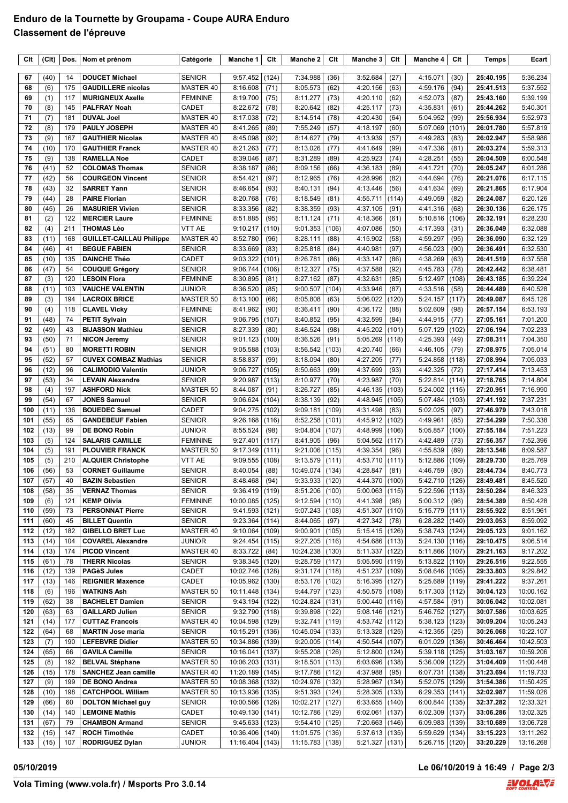## **Enduro de la Tournette by Groupama - Coupe AURA Enduro Classement de l'épreuve**

| Clt        | (CIt)        | Dos.       | Nom et prénom                                      | Catégorie                      | Manche 1                     | Clt            | Manche 2                   | Clt            | Manche 3                             | Clt           | Manche 4             | Clt            | Temps                  | Ecart                  |
|------------|--------------|------------|----------------------------------------------------|--------------------------------|------------------------------|----------------|----------------------------|----------------|--------------------------------------|---------------|----------------------|----------------|------------------------|------------------------|
| 67         | (40)         | 14         | <b>DOUCET Michael</b>                              | <b>SENIOR</b>                  | 9:57.452                     | (124)          | 7:34.988                   | (36)           | 3:52.684                             | (27)          | 4:15.071             | (30)           | 25:40.195              | 5:36.234               |
| 68         | (6)          | 175        | <b>GAUDILLERE</b> nicolas                          | MASTER 40                      | 8:16.608                     | (71)           | 8:05.573                   | (62)           | 4:20.156                             | (63)          | 4:59.176             | (94)           | 25:41.513              | 5:37.552               |
| 69         | (1)          | 117        | <b>MURIGNEUX Axelle</b>                            | <b>FEMININE</b>                | 8:19.700                     | (75)           | 8:11.277                   | (73)           | 4:20.110                             | (62)          | 4:52.073             | (87)           | 25:43.160              | 5:39.199               |
| 70         | (8)          | 145        | <b>PALFRAY Noah</b>                                | <b>CADET</b>                   | 8:22.672                     | (78)           | 8:20.642                   | (82)           | 4:25.117                             | (73)          | 4:35.831             | (61)           | 25:44.262              | 5:40.301               |
| 71         | (7)          | 181        | <b>DUVAL Joel</b>                                  | MASTER 40                      | 8:17.038                     | (72)           | 8:14.514                   | (78)           | 4:20.430                             | (64)          | 5:04.952             | (99)           | 25:56.934              | 5:52.973               |
| 72         | (8)          | 179        | <b>PAULY JOSEPH</b>                                | MASTER 40                      | 8:41.265                     | (89)           | 7:55.249                   | (57)           | 4:18.197                             | (60)          | 5:07.069             | (101)          | 26:01.780              | 5:57.819               |
| 73         | (9)          | 167        | <b>GAUTHIER Nicolas</b>                            | MASTER 40                      | 8:45.098                     | (92)           | 8:14.627                   | (79)           | 4:13.939                             | (57)          | 4:49.283             | (83)           | 26:02.947              | 5:58.986               |
| 74         | (10)         | 170        | <b>GAUTHIER Franck</b>                             | MASTER 40                      | 8:21.263                     | (77)           | 8:13.026                   | (77)           | 4:41.649                             | (99)          | 4:47.336             | (81)           | 26:03.274              | 5:59.313               |
| 75         | (9)          | 138        | <b>RAMELLA Noe</b>                                 | <b>CADET</b>                   | 8:39.046                     | (87)           | 8:31.289                   | (89)           | 4:25.923                             | (74)          | 4:28.251             | (55)           | 26:04.509              | 6:00.548               |
| 76         | (41)         | 52         | <b>COLOMAS Thomas</b>                              | <b>SENIOR</b>                  | 8:38.187                     | (86)           | 8:09.156                   | (66)           | 4:36.183                             | (89)          | 4:41.721<br>4:44.694 | (70)           | 26:05.247              | 6:01.286               |
| 77<br>78   | (42)<br>(43) | 56<br>32   | <b>COURGEON Vincent</b><br><b>SARRET Yann</b>      | <b>SENIOR</b><br><b>SENIOR</b> | 8:54.421<br>8:46.654         | (97)<br>(93)   | 8:12.965<br>8:40.131       | (76)<br>(94)   | 4:28.996<br>4:13.446                 | (82)<br>(56)  | 4:41.634             | (76)<br>(69)   | 26:21.076<br>26:21.865 | 6:17.115<br>6:17.904   |
| 79         | (44)         | 28         | <b>PAIRE Florian</b>                               | <b>SENIOR</b>                  | 8:20.768                     | (76)           | 8:18.549                   | (81)           | 4:55.711                             | (114)         | 4:49.059             | (82)           | 26:24.087              | 6:20.126               |
| 80         | (45)         | 26         | <b>MASURIER Vivien</b>                             | <b>SENIOR</b>                  | 8:33.356                     | (82)           | 8:38.359                   | (93)           | 4:37.105                             | (91)          | 4:41.316             | (68)           | 26:30.136              | 6:26.175               |
| 81         | (2)          | 122        | <b>MERCIER Laure</b>                               | <b>FEMININE</b>                | 8:51.885                     | (95)           | 8:11.124                   | (71)           | 4:18.366                             | (61)          | 5:10.816             | (106)          | 26:32.191              | 6:28.230               |
| 82         | (4)          | 211        | <b>THOMAS Léo</b>                                  | VTT AE                         | 9:10.217                     | (110)          | 9:01.353                   | (106)          | 4:07.086                             | (50)          | 4:17.393             | (31)           | 26:36.049              | 6:32.088               |
| 83         | (11)         | 168        | <b>GUILLET-CAILLAU Philippe</b>                    | MASTER 40                      | 8:52.780                     | (96)           | 8:28.111                   | (88)           | 4:15.902                             | (58)          | 4:59.297             | (95)           | 26:36.090              | 6:32.129               |
| 84         | (46)         | 41         | <b>BEGUE FABIEN</b>                                | <b>SENIOR</b>                  | 8:33.669                     | (83)           | 8:25.818                   | (84)           | 4:40.981                             | (97)          | 4:56.023             | (90)           | 26:36.491              | 6:32.530               |
| 85         | (10)         | 135        | <b>DAINCHE Théo</b>                                | <b>CADET</b>                   | 9:03.322                     | (101)          | 8:26.781                   | (86)           | 4:33.147                             | (86)          | 4:38.269             | (63)           | 26:41.519              | 6:37.558               |
| 86         | (47)         | 54         | <b>COUQUE Grégory</b>                              | <b>SENIOR</b>                  | 9:06.744                     | (106)          | 8:12.327                   | (75)           | 4:37.588                             | (92)          | 4:45.783             | (78)           | 26:42.442              | 6:38.481               |
| 87         | (3)          | 120        | <b>LESOIN Flora</b>                                | <b>FEMININE</b>                | 8:30.895                     | (81)           | 8:27.162                   | (87)           | 4:32.631                             | (85)          | 5:12.497             | (108)          | 26:43.185              | 6:39.224               |
| 88<br>89   | (11)<br>(3)  | 103<br>194 | <b>VAUCHE VALENTIN</b><br><b>LACROIX BRICE</b>     | <b>JUNIOR</b><br>MASTER 50     | 8:36.520<br>8:13.100         | (85)<br>(66)   | 9:00.507<br>8:05.808       | (104)<br>(63)  | 4:33.946<br>5:06.022                 | (87)<br>(120) | 4:33.516<br>5:24.157 | (58)<br>(117)  | 26:44.489<br>26:49.087 | 6:40.528<br>6:45.126   |
| 90         | (4)          | 118        | <b>CLAVEL Vicky</b>                                | <b>FEMININE</b>                | 8:41.962                     | (90)           | 8:36.411                   | (90)           | 4:36.172                             | (88)          | 5:02.609             | (98)           | 26:57.154              | 6:53.193               |
| 91         | (48)         | 74         | <b>PETIT Sylvain</b>                               | <b>SENIOR</b>                  | 9:06.795                     | (107)          | 8:40.852                   | (95)           | 4:32.599                             | (84)          | 4:44.915             | (77)           | 27:05.161              | 7:01.200               |
| 92         | (49)         | 43         | <b>BIJASSON Mathieu</b>                            | <b>SENIOR</b>                  | 8:27.339                     | (80)           | 8:46.524                   | (98)           | 4:45.202                             | (101)         | 5:07.129             | (102)          | 27:06.194              | 7:02.233               |
| 93         | (50)         | 71         | <b>NICON Jeremy</b>                                | <b>SENIOR</b>                  | 9:01.123                     | (100)          | 8:36.526                   | (91)           | 5:05.269                             | (118)         | 4:25.393             | (49)           | 27:08.311              | 7:04.350               |
| 94         | (51)         | 80         | <b>MORETTI ROBIN</b>                               | <b>SENIOR</b>                  | 9:05.588                     | (103)          | 8:56.542                   | (103)          | 4:20.740                             | (66)          | 4:46.105             | (79)           | 27:08.975              | 7:05.014               |
| 95         | (52)         | 57         | <b>CUVEX COMBAZ Mathias</b>                        | <b>SENIOR</b>                  | 8:58.837                     | (99)           | 8:18.094                   | (80)           | 4:27.205                             | (77)          | 5:24.858             | (118)          | 27:08.994              | 7:05.033               |
| 96         | (12)         | 96         | <b>CALIMODIO Valentin</b>                          | <b>JUNIOR</b>                  | 9:06.727                     | (105)          | 8:50.663                   | (99)           | 4:37.699                             | (93)          | 4:42.325             | (72)           | 27:17.414              | 7:13.453               |
| 97         | (53)         | 34         | <b>LEVAIN Alexandre</b>                            | <b>SENIOR</b>                  | 9:20.987                     | (113)          | 8:10.977                   | (70)           | 4:23.987                             | (70)          | 5:22.814             | (114)          | 27:18.765              | 7:14.804               |
| 98         | (4)          | 197        | <b>ASHFORD Nick</b>                                | MASTER 50                      | 8:44.087                     | (91)           | 8:26.727                   | (85)           | 4:46.135                             | (103)         | 5:24.002             | (115)          | 27:20.951              | 7:16.990               |
| 99         | (54)         | 67         | <b>JONES Samuel</b>                                | <b>SENIOR</b>                  | 9:06.624                     | (104)          | 8:38.139                   | (92)           | 4:48.945                             | (105)         | 5:07.484             | (103)          | 27:41.192              | 7:37.231               |
| 100<br>101 | (11)<br>(55) | 136<br>65  | <b>BOUEDEC Samuel</b><br><b>GANDEBEUF Fabien</b>   | <b>CADET</b><br><b>SENIOR</b>  | 9:04.275<br>9:26.168         | (102)<br>(116) | 9:09.181<br>8:52.258       | (109)<br>(101) | 4:31.498<br>4:45.912                 | (83)<br>(102) | 5:02.025<br>4:49.961 | (97)<br>(85)   | 27:46.979<br>27:54.299 | 7:43.018<br>7:50.338   |
| 102        | (13)         | 99         | <b>DE BONO Robin</b>                               | <b>JUNIOR</b>                  | 8:55.524                     | (98)           | 9:04.804                   | (107)          | 4:48.999                             | (106)         | 5:05.857             | (100)          | 27:55.184              | 7:51.223               |
| 103        | (5)          | 124        | <b>SALARIS CAMILLE</b>                             | <b>FEMININE</b>                | 9:27.401                     | (117)          | 8:41.905                   | (96)           | 5:04.562                             | (117)         | 4:42.489             | (73)           | 27:56.357              | 7:52.396               |
| 104        | (5)          | 191        | <b>PLOUVIER FRANCK</b>                             | MASTER 50                      | 9:17.349                     | (111)          | 9:21.006                   | (115)          | 4:39.354                             | (96)          | 4:55.839             | (89)           | 28:13.548              | 8:09.587               |
| 105        | (5)          | 210        | <b>ALQUIER Christophe</b>                          | VTT AE                         | 9:09.555                     | (108)          | 9:13.579                   | (111)          | 4:53.710                             | (111)         | 5:12.886             | (109)          | 28:29.730              | 8:25.769               |
| 106        | (56)         | 53         | <b>CORNET Guillaume</b>                            | <b>SENIOR</b>                  | 8:40.054                     | (88)           | 10:49.074                  | (134)          | 4:28.847                             | (81)          | 4:46.759             | (80)           | 28:44.734              | 8:40.773               |
| 107        | (57)         | 40         | <b>BAZIN Sebastien</b>                             | <b>SENIOR</b>                  | 8:48.468                     | (94)           | 9:33.933                   | (120)          | 4:44.370                             | (100)         | 5:42.710             | (126)          | 28:49.481              | 8:45.520               |
| 108        | (58)         | 35         | <b>VERNAZ Thomas</b>                               | <b>SENIOR</b>                  | $9:36.419$ (119)             |                | 8:51.206                   | (100)          | $5:00.063$ (115)                     |               | $5:22.596$ (113)     |                | 28:50.284              | 8:46.323               |
| 109        | (6)          | 121        | <b>KEMP Olivia</b>                                 | <b>FEMININE</b>                | 10:00.085                    | (125)          | 9:12.594                   | (110)          | 4:41.398                             | (98)          | 5:00.312             | (96)           | 28:54.389              | 8:50.428               |
| 110        | (59)         | 73         | <b>PERSONNAT Pierre</b>                            | <b>SENIOR</b>                  | $9:41.593$ (121)             |                | 9:07.243                   | (108)          | $4:51.307$ (110)                     |               | 5:15.779             | (111)          | 28:55.922              | 8:51.961               |
| 111<br>112 | (60)<br>(12) | 45<br>182  | <b>BILLET Quentin</b><br><b>GIBELLO BRET Luc</b>   | <b>SENIOR</b><br>MASTER 40     | 9:23.364<br>9:10.064         | (114)<br>(109) | 8:44.065<br>9:00.901       | (97)<br>(105)  | 4:27.342<br>$5:15.415$ (126)         | (78)          | 6:28.282<br>5:38.743 | (140)<br>(124) | 29:03.053<br>29:05.123 | 8:59.092<br>9:01.162   |
| 113        | (14)         | 104        | <b>COVAREL Alexandre</b>                           | <b>JUNIOR</b>                  | 9:24.454                     | (115)          | $9:27.205$ (116)           |                | $4:54.686$ (113)                     |               | 5:24.130             | (116)          | 29:10.475              | 9:06.514               |
| 114        | (13)         | 174        | <b>PICOD Vincent</b>                               | MASTER 40                      | 8:33.722                     | (84)           | 10:24.238 (130)            |                | $5:11.337$ (122)                     |               | 5:11.866             | (107)          | 29:21.163              | 9:17.202               |
| 115        | (61)         | 78         | <b>THERR Nicolas</b>                               | <b>SENIOR</b>                  | $9:38.345$ (120)             |                | $9:28.759$ (117)           |                | $5:05.590$ (119)                     |               | 5:13.822             | (110)          | 29:26.516              | 9:22.555               |
| 116        | (12)         | 139        | <b>PAGèS Jules</b>                                 | CADET                          | 10:02.746                    | (128)          | 9:31.174                   | (118)          | 4:51.237                             | (109)         | 5:08.646             | (105)          | 29:33.803              | 9:29.842               |
| 117        | (13)         | 146        | <b>REIGNIER Maxence</b>                            | CADET                          | 10:05.962 (130)              |                | 8:53.176                   | (102)          | $5:16.395$ (127)                     |               | 5:25.689             | (119)          | 29:41.222              | 9:37.261               |
| 118        | (6)          | 196        | <b>WATKINS Ash</b>                                 | MASTER 50                      | 10:11.448 (134)              |                | 9:44.797                   | (123)          | $4:50.575$ (108)                     |               | 5:17.303             | (112)          | 30:04.123              | 10:00.162              |
| 119        | (62)         | 38         | <b>BACHELET Damien</b>                             | <b>SENIOR</b>                  | $9:43.194$ (122)             |                | 10:24.824 (131)            |                | $5:00.440$ (116)                     |               | 4:57.584             | (91)           | 30:06.042              | 10:02.081              |
| 120        | (63)         | 63         | <b>GAILLARD Julien</b>                             | <b>SENIOR</b>                  | $9:32.790$ (118)             |                | 9:39.898                   | (122)          | $5:08.146$ (121)                     |               | 5:46.752             | (127)          | 30:07.586              | 10:03.625              |
| 121<br>122 | (14)<br>(64) | 177<br>68  | <b>CUTTAZ Francois</b><br><b>MARTIN Jose maria</b> | MASTER 40<br><b>SENIOR</b>     | 10:04.598 (129)<br>10:15.291 | (136)          | 9:32.741(119)<br>10:45.094 | (133)          | $4:53.742$ (112)<br>$5:13.328$ (125) |               | 5:38.123<br>4:12.355 | (123)<br>(25)  | 30:09.204<br>30:26.068 | 10:05.243<br>10:22.107 |
| 123        | (7)          | 190        | <b>LEFEBVRE Didier</b>                             | MASTER 50                      | 10:34.886 (139)              |                | 9:20.005                   | (114)          | $4:50.544$ (107)                     |               | 6:01.029             | (136)          | 30:46.464              | 10:42.503              |
| 124        | (65)         | 66         | <b>GAVILA Camille</b>                              | <b>SENIOR</b>                  | 10:16.041                    | (137)          | 9:55.208                   | (126)          | $5:12.800$ (124)                     |               | 5:39.118             | (125)          | 31:03.167              | 10:59.206              |
| 125        | (8)          | 192        | <b>BELVAL Stéphane</b>                             | MASTER 50                      | 10:06.203 (131)              |                | 9:18.501                   | (113)          | $6:03.696$ (138)                     |               | 5:36.009             | (122)          | 31:04.409              | 11:00.448              |
| 126        | (15)         | 178        | <b>SANCHEZ Jean camille</b>                        | MASTER 40                      | 11:20.189 (145)              |                | 9:17.786                   | (112)          | 4:37.988                             | (95)          | 6:07.731             | (138)          | 31:23.694              | 11:19.733              |
| 127        | (9)          | 199        | DE BONO Andrea                                     | MASTER 50                      | 10:08.368 (132)              |                | 10:24.976                  | (132)          | 5:28.967                             | (134)         | 5:52.075             | (129)          | 31:54.386              | 11:50.425              |
| 128        | (10)         | 198        | <b>CATCHPOOL William</b>                           | MASTER 50                      | 10:13.936 (135)              |                | 9:51.393                   | (124)          | 5:28.305                             | (133)         | 6:29.353             | (141)          | 32:02.987              | 11:59.026              |
| 129        | (66)         | 60         | <b>DOLTON Michael guy</b>                          | <b>SENIOR</b>                  | 10:00.566 (126)              |                | 10:02.217                  | (127)          | $6:33.655$ (140)                     |               | 6:00.844             | (135)          | 32:37.282              | 12:33.321              |
| 130        | (14)         | 140        | <b>LEMOINE Mathis</b>                              | CADET                          | 10:49.130                    | (141)          | 10:12.786                  | (129)          | 6:02.061                             | (137)         | 6:02.309             | (137)          | 33:06.286              | 13:02.325              |
| 131        | (67)         | 79         | <b>CHAMBON Armand</b>                              | <b>SENIOR</b>                  | 9:45.633                     | (123)          | 9:54.410                   | (125)          | 7:20.663 (146)                       |               | 6:09.983             | (139)          | 33:10.689              | 13:06.728              |
| 132        | (15)         | 147        | <b>ROCH Timothée</b>                               | CADET                          | 10:36.406 (140)              |                | 11:01.575                  | (136)          | $5:37.613$ (135)                     |               | 5:59.629             | (134)          | 33:15.223              | 13:11.262              |
| 133        | (15)         | 107        | <b>RODRIGUEZ Dylan</b>                             | <b>JUNIOR</b>                  | $11:16.404$ (143)            |                | 11:15.783                  | (138)          | $5:21.327$ (131)                     |               | 5:26.715 (120)       |                | 33:20.229              | 13:16.268              |

**05/10/2019 Le 06/10/2019 à 16:49 / Page 2/3**